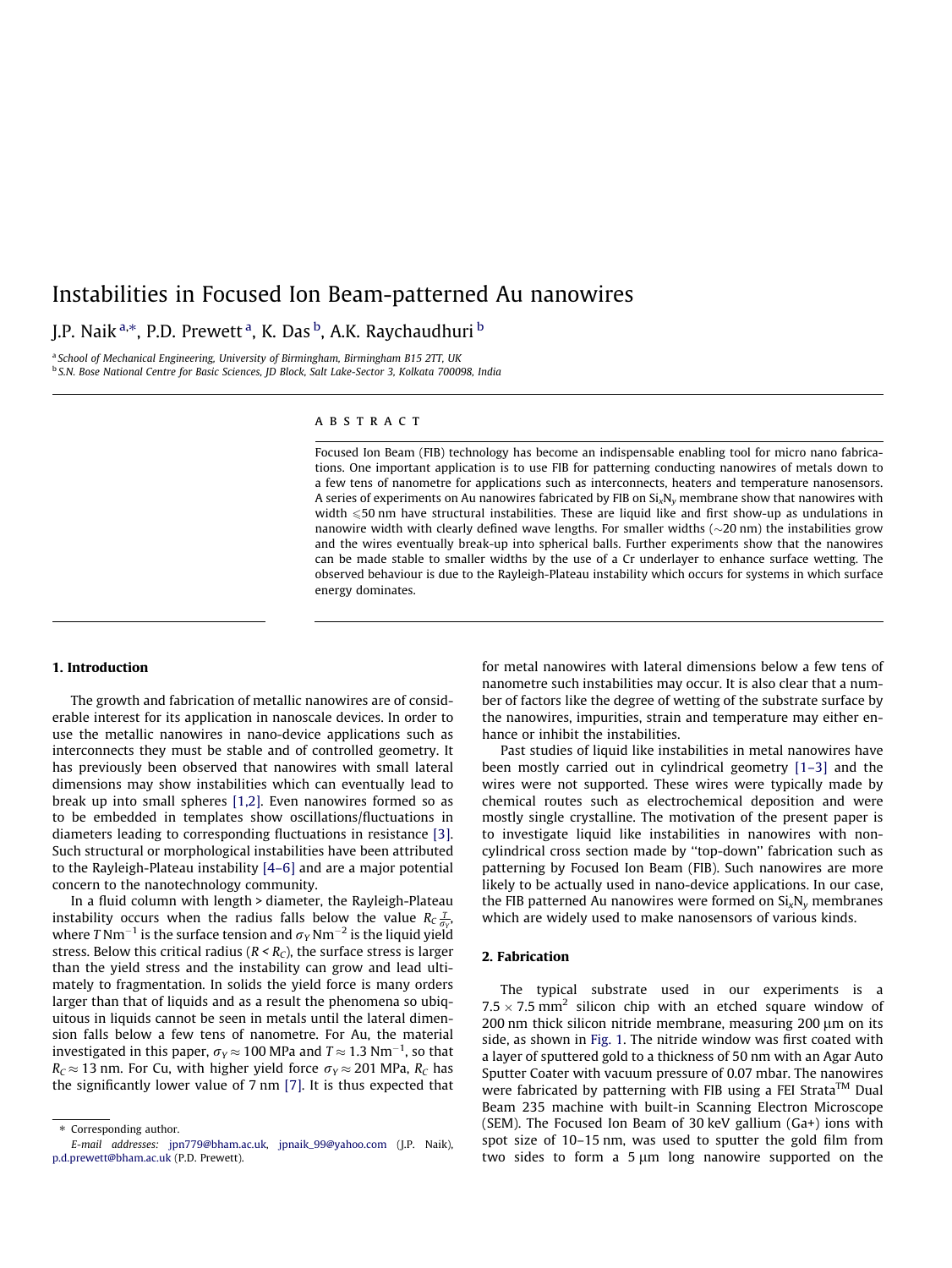# Instabilities in Focused Ion Beam-patterned Au nanowires

## J.P. Naik <sup>a,</sup>\*, P.D. Prewett <sup>a</sup>, K. Das <sup>b</sup>, A.K. Raychaudhuri <sup>b</sup>

<sup>a</sup> School of Mechanical Engineering, University of Birmingham, Birmingham B15 2TT, UK <sup>b</sup> S.N. Bose National Centre for Basic Sciences, JD Block, Salt Lake-Sector 3, Kolkata 700098, India

### **ABSTRACT**

Focused Ion Beam (FIB) technology has become an indispensable enabling tool for micro nano fabrications. One important application is to use FIB for patterning conducting nanowires of metals down to a few tens of nanometre for applications such as interconnects, heaters and temperature nanosensors. A series of experiments on Au nanowires fabricated by FIB on  $Si_xN_y$  membrane show that nanowires with width  $\leqslant$ 50 nm have structural instabilities. These are liquid like and first show-up as undulations in nanowire width with clearly defined wave lengths. For smaller widths  $(\sim]20 \text{ nm}$  the instabilities grow and the wires eventually break-up into spherical balls. Further experiments show that the nanowires can be made stable to smaller widths by the use of a Cr underlayer to enhance surface wetting. The observed behaviour is due to the Rayleigh-Plateau instability which occurs for systems in which surface energy dominates.

#### 1. Introduction

The growth and fabrication of metallic nanowires are of considerable interest for its application in nanoscale devices. In order to use the metallic nanowires in nano-device applications such as interconnects they must be stable and of controlled geometry. It has previously been observed that nanowires with small lateral dimensions may show instabilities which can eventually lead to break up into small spheres [\[1,2\]](#page-3-0). Even nanowires formed so as to be embedded in templates show oscillations/fluctuations in diameters leading to corresponding fluctuations in resistance [\[3\].](#page-3-0) Such structural or morphological instabilities have been attributed to the Rayleigh-Plateau instability [\[4–6\]](#page-3-0) and are a major potential concern to the nanotechnology community.

In a fluid column with length > diameter, the Rayleigh-Plateau instability occurs when the radius falls below the value  $R_C \frac{T}{\sigma_Y}$ where T Nm<sup>-1</sup> is the surface tension and  $\sigma_Y$  Nm<sup>-2</sup> is the liquid yield stress. Below this critical radius ( $R < R<sub>C</sub>$ ), the surface stress is larger than the yield stress and the instability can grow and lead ultimately to fragmentation. In solids the yield force is many orders larger than that of liquids and as a result the phenomena so ubiquitous in liquids cannot be seen in metals until the lateral dimension falls below a few tens of nanometre. For Au, the material investigated in this paper,  $\sigma_Y\!\approx 100$  MPa and  $T\!\approx 1.3$  Nm $^{-1}$ , so that  $R<sub>C</sub> \approx 13$  nm. For Cu, with higher yield force  $\sigma_Y \approx 201$  MPa,  $R<sub>C</sub>$  has the significantly lower value of 7 nm [\[7\].](#page-3-0) It is thus expected that

for metal nanowires with lateral dimensions below a few tens of nanometre such instabilities may occur. It is also clear that a number of factors like the degree of wetting of the substrate surface by the nanowires, impurities, strain and temperature may either enhance or inhibit the instabilities.

Past studies of liquid like instabilities in metal nanowires have been mostly carried out in cylindrical geometry [\[1–3\]](#page-3-0) and the wires were not supported. These wires were typically made by chemical routes such as electrochemical deposition and were mostly single crystalline. The motivation of the present paper is to investigate liquid like instabilities in nanowires with noncylindrical cross section made by ''top-down'' fabrication such as patterning by Focused Ion Beam (FIB). Such nanowires are more likely to be actually used in nano-device applications. In our case, the FIB patterned Au nanowires were formed on  $Si_xN_y$  membranes which are widely used to make nanosensors of various kinds.

#### 2. Fabrication

The typical substrate used in our experiments is a  $7.5 \times 7.5$  mm<sup>2</sup> silicon chip with an etched square window of  $200$  nm thick silicon nitride membrane, measuring  $200 \mu m$  on its side, as shown in [Fig. 1](#page-1-0). The nitride window was first coated with a layer of sputtered gold to a thickness of 50 nm with an Agar Auto Sputter Coater with vacuum pressure of 0.07 mbar. The nanowires were fabricated by patterning with FIB using a FEI Strata<sup>TM</sup> Dual Beam 235 machine with built-in Scanning Electron Microscope (SEM). The Focused Ion Beam of 30 keV gallium (Ga+) ions with spot size of 10–15 nm, was used to sputter the gold film from two sides to form a  $5 \mu m$  long nanowire supported on the

<sup>⇑</sup> Corresponding author.

E-mail addresses: [jpn779@bham.ac.uk,](mailto:jpn779@bham.ac.uk) [jpnaik\\_99@yahoo.com](mailto:jpnaik_99@yahoo.com) (J.P. Naik), [p.d.prewett@bham.ac.uk](mailto:p.d.prewett@bham.ac.uk) (P.D. Prewett).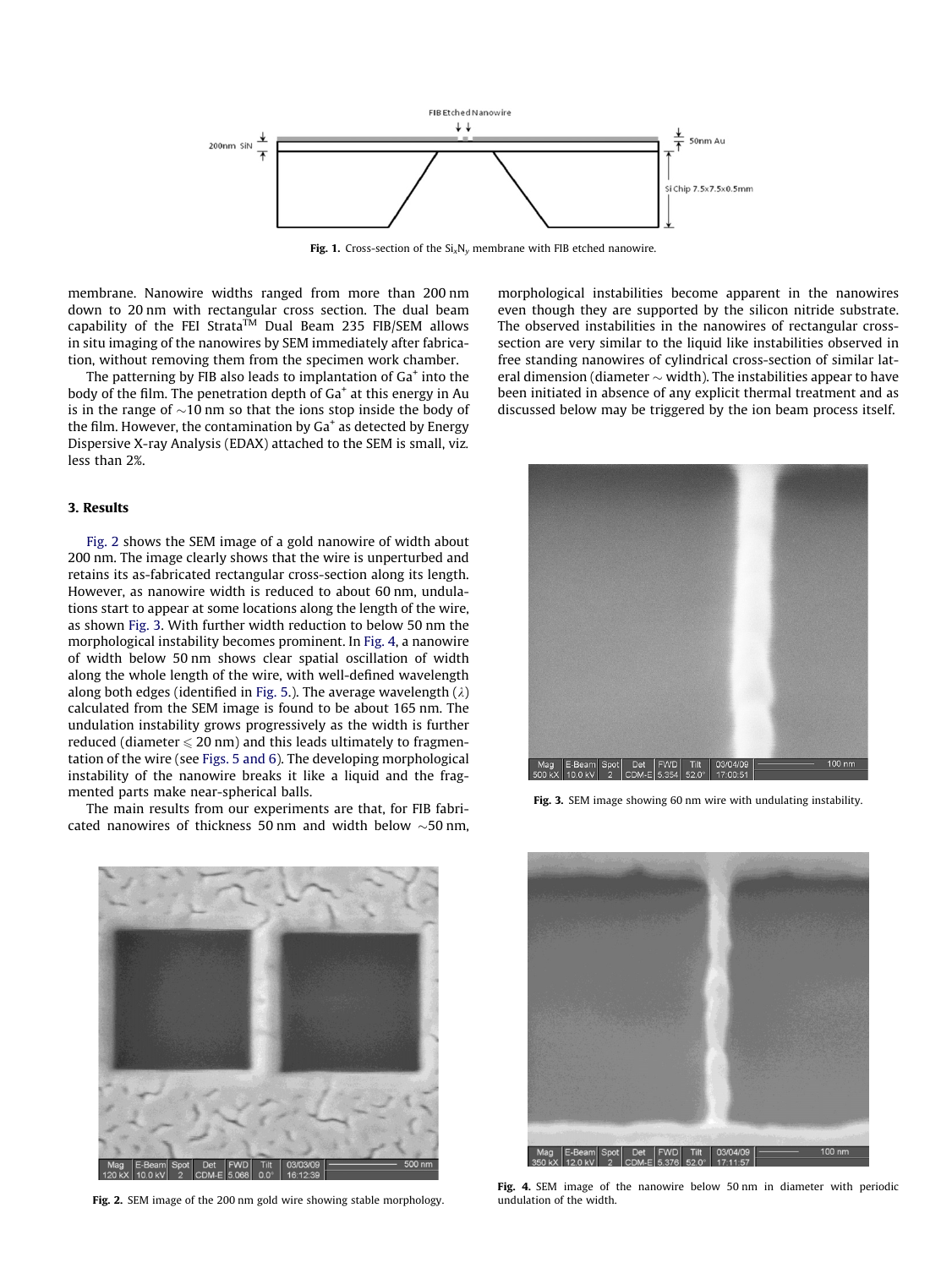<span id="page-1-0"></span>

Fig. 1. Cross-section of the  $Si_xN_y$  membrane with FIB etched nanowire.

membrane. Nanowire widths ranged from more than 200 nm down to 20 nm with rectangular cross section. The dual beam capability of the FEI Strata<sup>TM</sup> Dual Beam 235 FIB/SEM allows in situ imaging of the nanowires by SEM immediately after fabrication, without removing them from the specimen work chamber.

The patterning by FIB also leads to implantation of  $Ga<sup>+</sup>$  into the body of the film. The penetration depth of Ga<sup>+</sup> at this energy in Au is in the range of  ${\sim}10\,\text{nm}$  so that the ions stop inside the body of the film. However, the contamination by  $Ga<sup>+</sup>$  as detected by Energy Dispersive X-ray Analysis (EDAX) attached to the SEM is small, viz. less than 2%.

#### 3. Results

Fig. 2 shows the SEM image of a gold nanowire of width about 200 nm. The image clearly shows that the wire is unperturbed and retains its as-fabricated rectangular cross-section along its length. However, as nanowire width is reduced to about 60 nm, undulations start to appear at some locations along the length of the wire, as shown Fig. 3. With further width reduction to below 50 nm the morphological instability becomes prominent. In Fig. 4, a nanowire of width below 50 nm shows clear spatial oscillation of width along the whole length of the wire, with well-defined wavelength along both edges (identified in [Fig. 5](#page-2-0).). The average wavelength  $(\lambda)$ calculated from the SEM image is found to be about 165 nm. The undulation instability grows progressively as the width is further reduced (diameter  $\leqslant$  20 nm) and this leads ultimately to fragmentation of the wire (see [Figs. 5 and 6\)](#page-2-0). The developing morphological instability of the nanowire breaks it like a liquid and the fragmented parts make near-spherical balls.

The main results from our experiments are that, for FIB fabricated nanowires of thickness 50 nm and width below  $\sim$ 50 nm,

Fig. 2. SEM image of the 200 nm gold wire showing stable morphology.

morphological instabilities become apparent in the nanowires even though they are supported by the silicon nitride substrate. The observed instabilities in the nanowires of rectangular crosssection are very similar to the liquid like instabilities observed in free standing nanowires of cylindrical cross-section of similar lateral dimension (diameter  $\sim$  width). The instabilities appear to have been initiated in absence of any explicit thermal treatment and as discussed below may be triggered by the ion beam process itself.



Fig. 3. SEM image showing 60 nm wire with undulating instability.



Fig. 4. SEM image of the nanowire below 50 nm in diameter with periodic undulation of the width.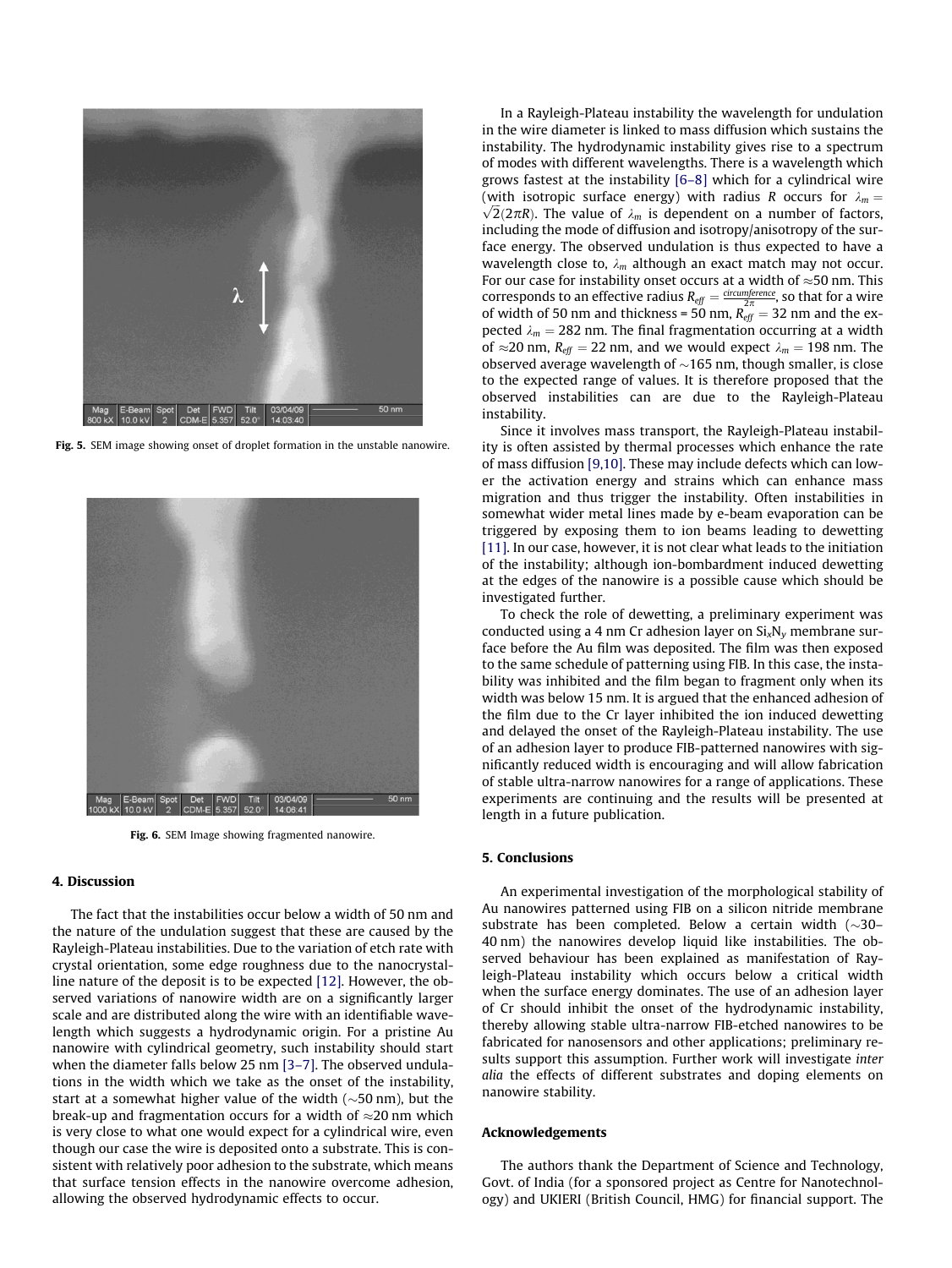<span id="page-2-0"></span>

Fig. 5. SEM image showing onset of droplet formation in the unstable nanowire.



Fig. 6. SEM Image showing fragmented nanowire.

#### 4. Discussion

The fact that the instabilities occur below a width of 50 nm and the nature of the undulation suggest that these are caused by the Rayleigh-Plateau instabilities. Due to the variation of etch rate with crystal orientation, some edge roughness due to the nanocrystalline nature of the deposit is to be expected [\[12\].](#page-3-0) However, the observed variations of nanowire width are on a significantly larger scale and are distributed along the wire with an identifiable wavelength which suggests a hydrodynamic origin. For a pristine Au nanowire with cylindrical geometry, such instability should start when the diameter falls below 25 nm [3-7]. The observed undulations in the width which we take as the onset of the instability, start at a somewhat higher value of the width ( $\sim$ 50 nm), but the break-up and fragmentation occurs for a width of  $\approx$ 20 nm which is very close to what one would expect for a cylindrical wire, even though our case the wire is deposited onto a substrate. This is consistent with relatively poor adhesion to the substrate, which means that surface tension effects in the nanowire overcome adhesion, allowing the observed hydrodynamic effects to occur.

In a Rayleigh-Plateau instability the wavelength for undulation in the wire diameter is linked to mass diffusion which sustains the instability. The hydrodynamic instability gives rise to a spectrum of modes with different wavelengths. There is a wavelength which grows fastest at the instability [\[6–8\]](#page-3-0) which for a cylindrical wire (with isotropic surface energy) with radius R occurs for  $\lambda_m =$ (with isotropic surface energy) with radius K occurs for  $\lambda_m = \sqrt{2}(2\pi R)$ . The value of  $\lambda_m$  is dependent on a number of factors, including the mode of diffusion and isotropy/anisotropy of the surface energy. The observed undulation is thus expected to have a wavelength close to,  $\lambda_m$  although an exact match may not occur. For our case for instability onset occurs at a width of  $\approx$  50 nm. This corresponds to an effective radius  $R_{\text{eff}} = \frac{\text{circumference}}{2\pi}$ , so that for a wire of width of 50 nm and thickness = 50 nm,  $R_{\text{eff}} = 32$  nm and the expected  $\lambda_m = 282$  nm. The final fragmentation occurring at a width of  $\approx$ 20 nm,  $R_{\text{eff}}$  = 22 nm, and we would expect  $\lambda_m$  = 198 nm. The observed average wavelength of  $\sim$ 165 nm, though smaller, is close to the expected range of values. It is therefore proposed that the observed instabilities can are due to the Rayleigh-Plateau instability.

Since it involves mass transport, the Rayleigh-Plateau instability is often assisted by thermal processes which enhance the rate of mass diffusion [\[9,10\].](#page-3-0) These may include defects which can lower the activation energy and strains which can enhance mass migration and thus trigger the instability. Often instabilities in somewhat wider metal lines made by e-beam evaporation can be triggered by exposing them to ion beams leading to dewetting [\[11\]](#page-3-0). In our case, however, it is not clear what leads to the initiation of the instability; although ion-bombardment induced dewetting at the edges of the nanowire is a possible cause which should be investigated further.

To check the role of dewetting, a preliminary experiment was conducted using a 4 nm Cr adhesion layer on  $Si_xN_y$  membrane surface before the Au film was deposited. The film was then exposed to the same schedule of patterning using FIB. In this case, the instability was inhibited and the film began to fragment only when its width was below 15 nm. It is argued that the enhanced adhesion of the film due to the Cr layer inhibited the ion induced dewetting and delayed the onset of the Rayleigh-Plateau instability. The use of an adhesion layer to produce FIB-patterned nanowires with significantly reduced width is encouraging and will allow fabrication of stable ultra-narrow nanowires for a range of applications. These experiments are continuing and the results will be presented at length in a future publication.

#### 5. Conclusions

An experimental investigation of the morphological stability of Au nanowires patterned using FIB on a silicon nitride membrane substrate has been completed. Below a certain width  $(\sim]30-$ 40 nm) the nanowires develop liquid like instabilities. The observed behaviour has been explained as manifestation of Rayleigh-Plateau instability which occurs below a critical width when the surface energy dominates. The use of an adhesion layer of Cr should inhibit the onset of the hydrodynamic instability, thereby allowing stable ultra-narrow FIB-etched nanowires to be fabricated for nanosensors and other applications; preliminary results support this assumption. Further work will investigate inter alia the effects of different substrates and doping elements on nanowire stability.

### Acknowledgements

The authors thank the Department of Science and Technology, Govt. of India (for a sponsored project as Centre for Nanotechnology) and UKIERI (British Council, HMG) for financial support. The